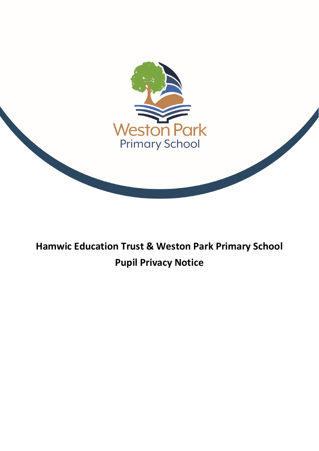

# **Hamwic Education Trust & Weston Park Primary School Pupil Privacy Notice**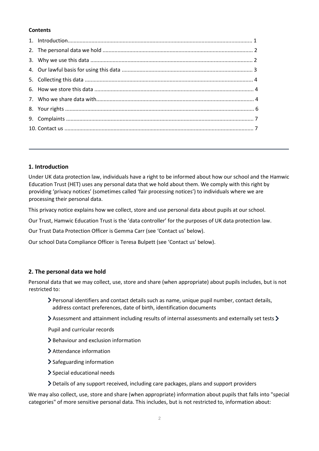# **Contents**

# **1. Introduction**

Under UK data protection law, individuals have a right to be informed about how our school and the Hamwic Education Trust (HET) uses any personal data that we hold about them. We comply with this right by providing 'privacy notices' (sometimes called 'fair processing notices') to individuals where we are processing their personal data.

This privacy notice explains how we collect, store and use personal data about pupils at our school.

Our Trust, Hamwic Education Trust is the 'data controller' for the purposes of UK data protection law.

Our Trust Data Protection Officer is Gemma Carr (see 'Contact us' below).

Our school Data Compliance Officer is Teresa Bulpett (see 'Contact us' below).

# **2. The personal data we hold**

Personal data that we may collect, use, store and share (when appropriate) about pupils includes, but is not restricted to:

- Personal identifiers and contact details such as name, unique pupil number, contact details, address contact preferences, date of birth, identification documents
- $\triangleright$  Assessment and attainment including results of internal assessments and externally set tests  $\triangleright$

Pupil and curricular records

- > Behaviour and exclusion information
- Attendance information
- > Safeguarding information
- Special educational needs
- Details of any support received, including care packages, plans and support providers

We may also collect, use, store and share (when appropriate) information about pupils that falls into "special categories" of more sensitive personal data. This includes, but is not restricted to, information about: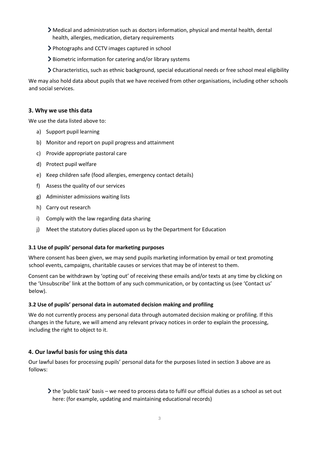- Medical and administration such as doctors information, physical and mental health, dental health, allergies, medication, dietary requirements
- Photographs and CCTV images captured in school
- Biometric information for catering and/or library systems
- Characteristics, such as ethnic background, special educational needs or free school meal eligibility

We may also hold data about pupils that we have received from other organisations, including other schools and social services.

## **3. Why we use this data**

We use the data listed above to:

- a) Support pupil learning
- b) Monitor and report on pupil progress and attainment
- c) Provide appropriate pastoral care
- d) Protect pupil welfare
- e) Keep children safe (food allergies, emergency contact details)
- f) Assess the quality of our services
- g) Administer admissions waiting lists
- h) Carry out research
- i) Comply with the law regarding data sharing
- j) Meet the statutory duties placed upon us by the Department for Education

## **3.1 Use of pupils' personal data for marketing purposes**

Where consent has been given, we may send pupils marketing information by email or text promoting school events, campaigns, charitable causes or services that may be of interest to them.

Consent can be withdrawn by 'opting out' of receiving these emails and/or texts at any time by clicking on the 'Unsubscribe' link at the bottom of any such communication, or by contacting us (see 'Contact us' below).

## **3.2 Use of pupils' personal data in automated decision making and profiling**

We do not currently process any personal data through automated decision making or profiling. If this changes in the future, we will amend any relevant privacy notices in order to explain the processing, including the right to object to it.

# **4. Our lawful basis for using this data**

Our lawful bases for processing pupils' personal data for the purposes listed in section 3 above are as follows:

the 'public task' basis – we need to process data to fulfil our official duties as a school as set out here: (for example, updating and maintaining educational records)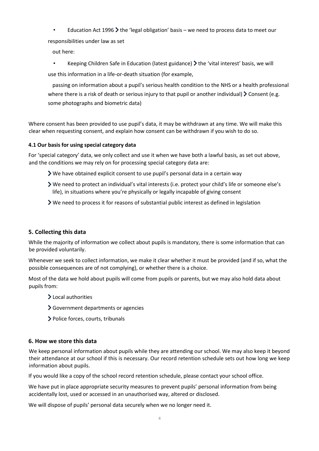• Education Act 1996  $\blacktriangleright$  the 'legal obligation' basis – we need to process data to meet our

responsibilities under law as set

out here:

Keeping Children Safe in Education (latest guidance)  $\blacktriangleright$  the 'vital interest' basis, we will

use this information in a life-or-death situation (for example,

passing on information about a pupil's serious health condition to the NHS or a health professional where there is a risk of death or serious injury to that pupil or another individual)  $\geq$  Consent (e.g. some photographs and biometric data)

Where consent has been provided to use pupil's data, it may be withdrawn at any time. We will make this clear when requesting consent, and explain how consent can be withdrawn if you wish to do so.

# **4.1 Our basis for using special category data**

For 'special category' data, we only collect and use it when we have both a lawful basis, as set out above, and the conditions we may rely on for processing special category data are:

- $\triangleright$  We have obtained explicit consent to use pupil's personal data in a certain way
- We need to protect an individual's vital interests (i.e. protect your child's life or someone else's life), in situations where you're physically or legally incapable of giving consent
- We need to process it for reasons of substantial public interest as defined in legislation

# **5. Collecting this data**

While the majority of information we collect about pupils is mandatory, there is some information that can be provided voluntarily.

Whenever we seek to collect information, we make it clear whether it must be provided (and if so, what the possible consequences are of not complying), or whether there is a choice.

Most of the data we hold about pupils will come from pupils or parents, but we may also hold data about pupils from:

- > Local authorities
- Government departments or agencies
- Police forces, courts, tribunals

# **6. How we store this data**

We keep personal information about pupils while they are attending our school. We may also keep it beyond their attendance at our school if this is necessary. Our record retention schedule sets out how long we keep information about pupils.

If you would like a copy of the school record retention schedule, please contact your school office.

We have put in place appropriate security measures to prevent pupils' personal information from being accidentally lost, used or accessed in an unauthorised way, altered or disclosed.

We will dispose of pupils' personal data securely when we no longer need it.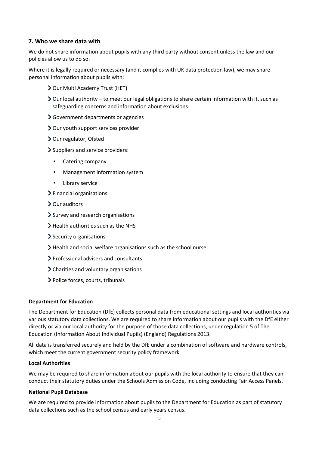# **7. Who we share data with**

We do not share information about pupils with any third party without consent unless the law and our policies allow us to do so.

Where it is legally required or necessary (and it complies with UK data protection law), we may share personal information about pupils with:

- > Our Multi Academy Trust (HET)
- $\geq$  Our local authority to meet our legal obligations to share certain information with it, such as safeguarding concerns and information about exclusions
- Government departments or agencies
- Our youth support services provider
- > Our regulator, Ofsted
- Suppliers and service providers:
	- Catering company
	- Management information system
	- Library service
- $\blacktriangleright$  Financial organisations
- Our auditors
- > Survey and research organisations
- $\blacktriangleright$  Health authorities such as the NHS
- Security organisations
- $\blacktriangleright$  Health and social welfare organisations such as the school nurse
- Professional advisers and consultants
- Charities and voluntary organisations
- Police forces, courts, tribunals

#### **Department for Education**

The Department for Education (DfE) collects personal data from educational settings and local authorities via various statutory data collections. We are required to share information about our pupils with the DfE either directly or via our local authority for the purpose of those data collections, under regulation 5 of The Education (Information About Individual Pupils) (England) Regulations 2013.

All data is transferred securely and held by the DfE under a combination of software and hardware controls, which meet the current government security policy framework.

#### **Local Authorities**

We may be required to share information about our pupils with the local authority to ensure that they can conduct their statutory duties under the Schools Admission Code, including conducting Fair Access Panels.

#### **National Pupil Database**

We are required to provide information about pupils to the Department for Education as part of statutory data collections such as the school census and early years census.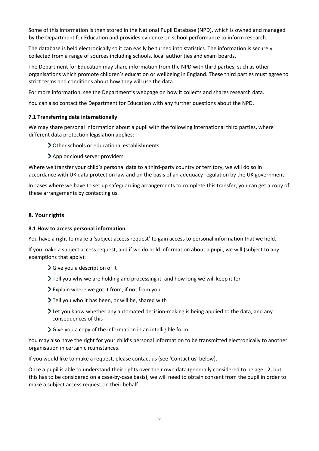Some of this information is then stored in the [National Pupil Database](https://www.gov.uk/government/collections/national-pupil-database) [\(](https://www.gov.uk/government/collections/national-pupil-database)NPD), which is owned and managed by the Department for Education and provides evidence on school performance to inform research.

The database is held electronically so it can easily be turned into statistics. The information is securely collected from a range of sources including schools, local authorities and exam boards.

The Department for Education may share information from the NPD with third parties, such as other organisations which promote children's education or wellbeing in England. These third parties must agree to strict terms and conditions about how they will use the data.

For more information, see the Department's webpage on [how it collects and shares research data.](https://www.gov.uk/data-protection-how-we-collect-and-share-research-data)

You can also [contact the Department for Education](https://www.gov.uk/contact-dfe) with any further questions about the NPD.

# **7.1 Transferring data internationally**

We may share personal information about a pupil with the following international third parties, where different data protection legislation applies:

Other schools or educational establishments

App or cloud server providers

Where we transfer your child's personal data to a third-party country or territory, we will do so in accordance with UK data protection law and on the basis of an adequacy regulation by the UK government.

In cases where we have to set up safeguarding arrangements to complete this transfer, you can get a copy of these arrangements by contacting us.

# **8. Your rights**

## **8.1 How to access personal information**

You have a right to make a 'subject access request' to gain access to personal information that we hold.

If you make a subject access request, and if we do hold information about a pupil, we will (subject to any exemptions that apply):

- Give you a description of it
- Tell you why we are holding and processing it, and how long we will keep it for
- Explain where we got it from, if not from you
- Tell you who it has been, or will be, shared with
- Let you know whether any automated decision-making is being applied to the data, and any consequences of this
- Give you a copy of the information in an intelligible form

You may also have the right for your child's personal information to be transmitted electronically to another organisation in certain circumstances.

If you would like to make a request, please contact us (see 'Contact us' below).

Once a pupil is able to understand their rights over their own data (generally considered to be age 12, but this has to be considered on a case-by-case basis), we will need to obtain consent from the pupil in order to make a subject access request on their behalf.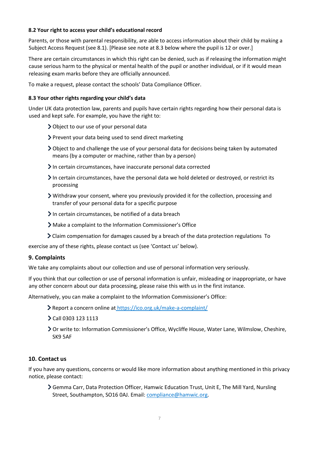## **8.2 Your right to access your child's educational record**

Parents, or those with parental responsibility, are able to access information about their child by making a Subject Access Request (see 8.1). [Please see note at 8.3 below where the pupil is 12 or over.]

There are certain circumstances in which this right can be denied, such as if releasing the information might cause serious harm to the physical or mental health of the pupil or another individual, or if it would mean releasing exam marks before they are officially announced.

To make a request, please contact the schools' Data Compliance Officer.

# **8.3 Your other rights regarding your child's data**

Under UK data protection law, parents and pupils have certain rights regarding how their personal data is used and kept safe. For example, you have the right to:

- Object to our use of your personal data
- Prevent your data being used to send direct marketing
- **>** Object to and challenge the use of your personal data for decisions being taken by automated means (by a computer or machine, rather than by a person)
- In certain circumstances, have inaccurate personal data corrected
- $\geq$  In certain circumstances, have the personal data we hold deleted or destroyed, or restrict its processing
- Withdraw your consent, where you previously provided it for the collection, processing and transfer of your personal data for a specific purpose
- $\sum$  In certain circumstances, be notified of a data breach
- Make a complaint to the Information Commissioner's Office
- Claim compensation for damages caused by a breach of the data protection regulations To

exercise any of these rights, please contact us (see 'Contact us' below).

# **9. Complaints**

We take any complaints about our collection and use of personal information very seriously.

If you think that our collection or use of personal information is unfair, misleading or inappropriate, or have any other concern about our data processing, please raise this with us in the first instance.

Alternatively, you can make a complaint to the Information Commissioner's Office:

- Report a concern online at <https://ico.org.uk/make-a-complaint/>
- Call 0303 123 1113
- Or write to: Information Commissioner's Office, Wycliffe House, Water Lane, Wilmslow, Cheshire, SK9 5AF

# **10. Contact us**

If you have any questions, concerns or would like more information about anything mentioned in this privacy notice, please contact:

Gemma Carr, Data Protection Officer, Hamwic Education Trust, Unit E, The Mill Yard, Nursling Street, Southampton, SO16 0AJ. Email: compliance@hamwic.org.